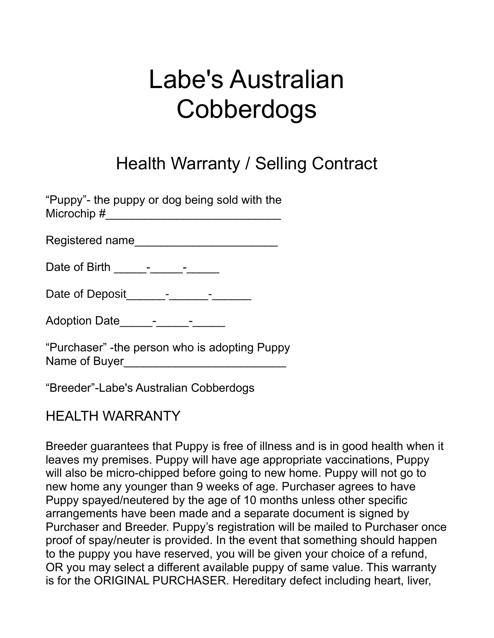# Labe's Australian **Cobberdogs**

## Health Warranty / Selling Contract

| "Puppy"- the puppy or dog being sold with the |  |  |  |
|-----------------------------------------------|--|--|--|
| Microchip #                                   |  |  |  |

Registered name\_\_\_\_\_\_\_\_\_\_\_\_\_\_\_\_\_\_\_\_\_\_

Date of Birth \_\_\_\_\_-\_\_\_\_\_-\_\_\_\_\_

Date of Deposit\_\_\_\_\_\_-\_\_\_\_\_\_-\_\_\_\_\_\_

Adoption Date\_\_\_\_\_-\_\_\_\_\_-\_\_\_\_\_

"Purchaser" -the person who is adopting Puppy Name of Buyer

"Breeder"-Labe's Australian Cobberdogs

#### HEALTH WARRANTY

Breeder guarantees that Puppy is free of illness and is in good health when it leaves my premises. Puppy will have age appropriate vaccinations, Puppy will also be micro-chipped before going to new home. Puppy will not go to new home any younger than 9 weeks of age. Purchaser agrees to have Puppy spayed/neutered by the age of 10 months unless other specific arrangements have been made and a separate document is signed by Purchaser and Breeder. Puppy's registration will be mailed to Purchaser once proof of spay/neuter is provided. In the event that something should happen to the puppy you have reserved, you will be given your choice of a refund, OR you may select a different available puppy of same value. This warranty is for the ORIGINAL PURCHASER. Hereditary defect including heart, liver,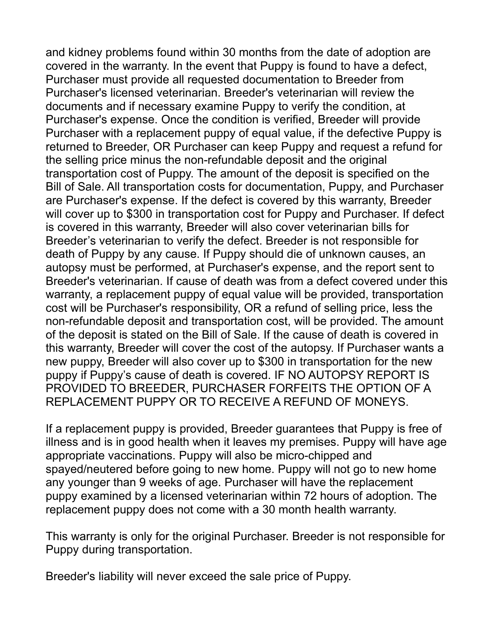and kidney problems found within 30 months from the date of adoption are covered in the warranty. In the event that Puppy is found to have a defect, Purchaser must provide all requested documentation to Breeder from Purchaser's licensed veterinarian. Breeder's veterinarian will review the documents and if necessary examine Puppy to verify the condition, at Purchaser's expense. Once the condition is verified, Breeder will provide Purchaser with a replacement puppy of equal value, if the defective Puppy is returned to Breeder, OR Purchaser can keep Puppy and request a refund for the selling price minus the non-refundable deposit and the original transportation cost of Puppy. The amount of the deposit is specified on the Bill of Sale. All transportation costs for documentation, Puppy, and Purchaser are Purchaser's expense. If the defect is covered by this warranty, Breeder will cover up to \$300 in transportation cost for Puppy and Purchaser. If defect is covered in this warranty, Breeder will also cover veterinarian bills for Breeder's veterinarian to verify the defect. Breeder is not responsible for death of Puppy by any cause. If Puppy should die of unknown causes, an autopsy must be performed, at Purchaser's expense, and the report sent to Breeder's veterinarian. If cause of death was from a defect covered under this warranty, a replacement puppy of equal value will be provided, transportation cost will be Purchaser's responsibility, OR a refund of selling price, less the non-refundable deposit and transportation cost, will be provided. The amount of the deposit is stated on the Bill of Sale. If the cause of death is covered in this warranty, Breeder will cover the cost of the autopsy. If Purchaser wants a new puppy, Breeder will also cover up to \$300 in transportation for the new puppy if Puppy's cause of death is covered. IF NO AUTOPSY REPORT IS PROVIDED TO BREEDER, PURCHASER FORFEITS THE OPTION OF A REPLACEMENT PUPPY OR TO RECEIVE A REFUND OF MONEYS.

If a replacement puppy is provided, Breeder guarantees that Puppy is free of illness and is in good health when it leaves my premises. Puppy will have age appropriate vaccinations. Puppy will also be micro-chipped and spayed/neutered before going to new home. Puppy will not go to new home any younger than 9 weeks of age. Purchaser will have the replacement puppy examined by a licensed veterinarian within 72 hours of adoption. The replacement puppy does not come with a 30 month health warranty.

This warranty is only for the original Purchaser. Breeder is not responsible for Puppy during transportation.

Breeder's liability will never exceed the sale price of Puppy.